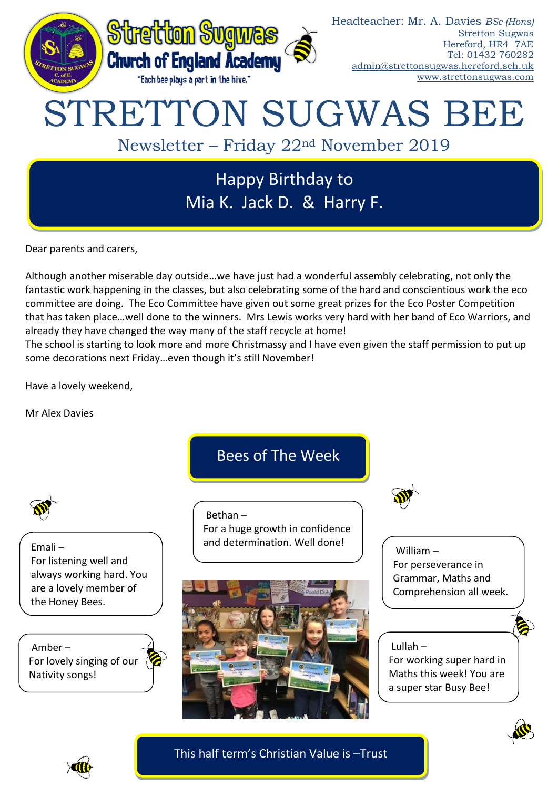

Dear parents and carers,

Although another miserable day outside…we have just had a wonderful assembly celebrating, not only the fantastic work happening in the classes, but also celebrating some of the hard and conscientious work the eco committee are doing. The Eco Committee have given out some great prizes for the Eco Poster Competition that has taken place…well done to the winners. Mrs Lewis works very hard with her band of Eco Warriors, and already they have changed the way many of the staff recycle at home!

The school is starting to look more and more Christmassy and I have even given the staff permission to put up some decorations next Friday…even though it's still November!

Have a lovely weekend,

Mr Alex Davies

Bees of The Week

Emali – For listening well and always working hard. You are a lovely member of the Honey Bees.

Amber – For lovely singing of our ( Nativity songs!

Bethan – For a huge growth in confidence and determination. Well done!





William – For perseverance in Grammar, Maths and Comprehension all week.

## Lullah –

For working super hard in Maths this week! You are a super star Busy Bee!